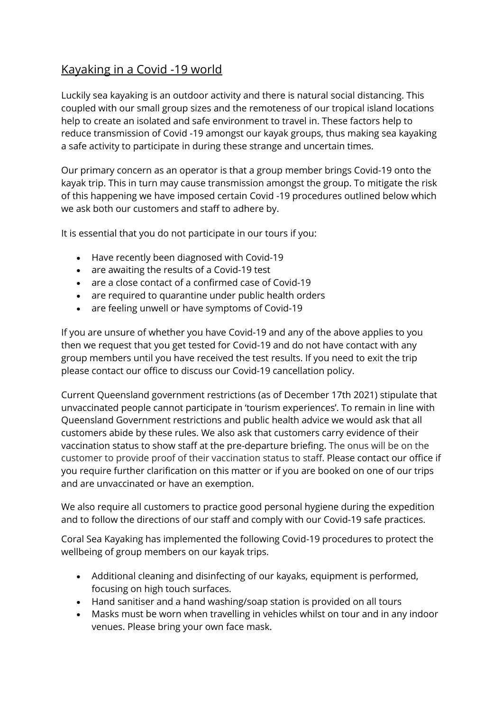## Kayaking in a Covid -19 world

Luckily sea kayaking is an outdoor activity and there is natural social distancing. This coupled with our small group sizes and the remoteness of our tropical island locations help to create an isolated and safe environment to travel in. These factors help to reduce transmission of Covid -19 amongst our kayak groups, thus making sea kayaking a safe activity to participate in during these strange and uncertain times.

Our primary concern as an operator is that a group member brings Covid-19 onto the kayak trip. This in turn may cause transmission amongst the group. To mitigate the risk of this happening we have imposed certain Covid -19 procedures outlined below which we ask both our customers and staff to adhere by.

It is essential that you do not participate in our tours if you:

- Have recently been diagnosed with Covid-19
- are awaiting the results of a Covid-19 test
- are a close contact of a confirmed case of Covid-19
- are required to quarantine under public health orders
- are feeling unwell or have symptoms of Covid-19

If you are unsure of whether you have Covid-19 and any of the above applies to you then we request that you get tested for Covid-19 and do not have contact with any group members until you have received the test results. If you need to exit the trip please contact our office to discuss our Covid-19 cancellation policy.

Current Queensland government restrictions (as of December 17th 2021) stipulate that unvaccinated people cannot participate in 'tourism experiences'. To remain in line with Queensland Government restrictions and public health advice we would ask that all customers abide by these rules. We also ask that customers carry evidence of their vaccination status to show staff at the pre-departure briefing. The onus will be on the customer to provide proof of their vaccination status to staff. Please contact our office if you require further clarification on this matter or if you are booked on one of our trips and are unvaccinated or have an exemption.

We also require all customers to practice good personal hygiene during the expedition and to follow the directions of our staff and comply with our Covid-19 safe practices.

Coral Sea Kayaking has implemented the following Covid-19 procedures to protect the wellbeing of group members on our kayak trips.

- Additional cleaning and disinfecting of our kayaks, equipment is performed, focusing on high touch surfaces.
- Hand sanitiser and a hand washing/soap station is provided on all tours
- Masks must be worn when travelling in vehicles whilst on tour and in any indoor venues. Please bring your own face mask.